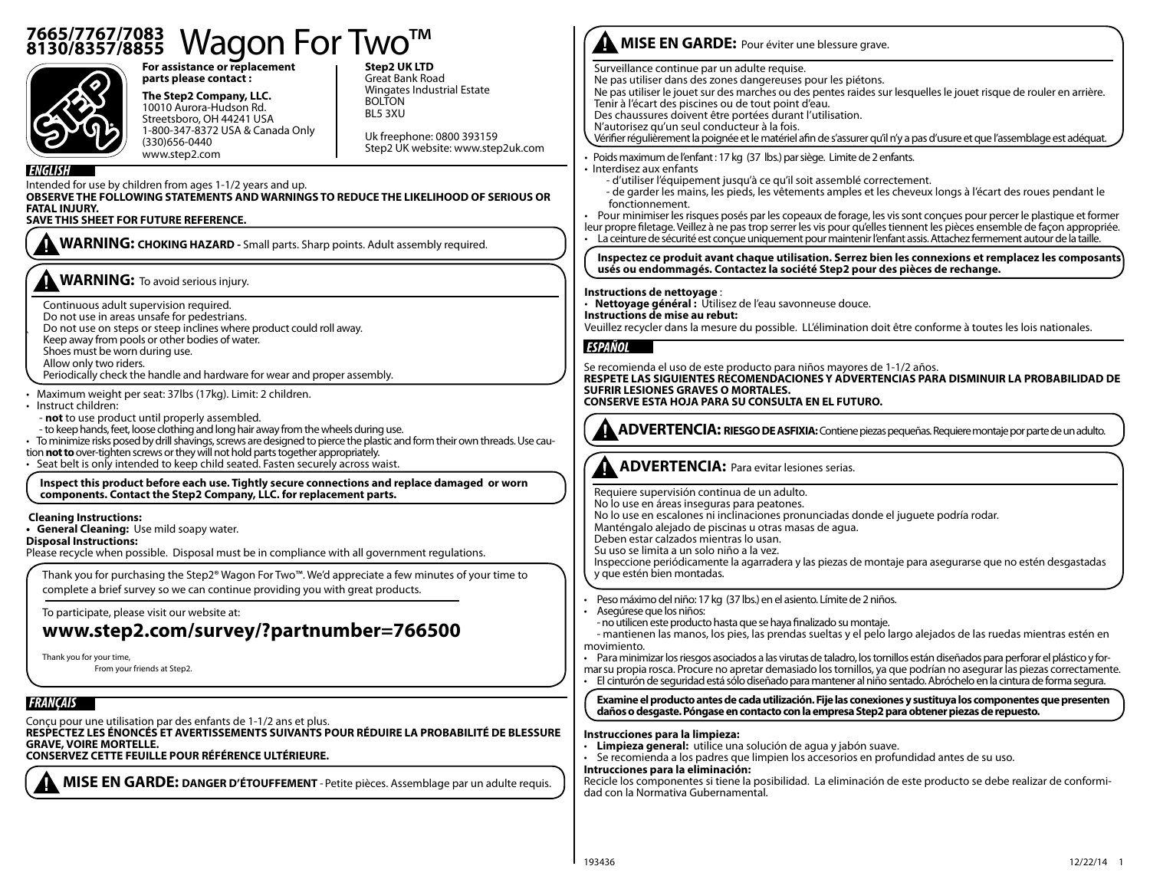# <sup>7665/7767/7083</sup> Wagon For Two™



**For assistance or replacement parts please contact :**

**The Step2 Company, LLC.**  10010 Aurora-Hudson Rd. Streetsboro, OH 44241 USA 1-800-347-8372 USA & Canada Only (330)656-0440 www.step2.com

**Step2 UK LTD** Great Bank Road Wingates Industrial Estate BOLTON BL5 3XU

Uk freephone: 0800 393159 Step2 UK website: www.step2uk.com

`

Intended for use by children from ages 1-1/2 years and up.

**OBSERVE THE FOLLOWING STATEMENTS AND WARNINGS TO REDUCE THE LIKELIHOOD OF SERIOUS OR FATAL INJURY.** 

## **SAVE THIS SHEET FOR FUTURE REFERENCE.**

**WARNING: CHOKING HAZARD -** Small parts. Sharp points. Adult assembly required.

# **WARNING:** To avoid serious injury.

Continuous adult supervision required.

- Do not use in areas unsafe for pedestrians.
- Do not use on steps or steep inclines where product could roll away.
- Keep away from pools or other bodies of water.

Shoes must be worn during use.

- Allow only two riders.
- Periodically check the handle and hardware for wear and proper assembly.
- Maximum weight per seat: 37lbs (17kg). Limit: 2 children.
- Instruct children:
- **not** to use product until properly assembled.
- to keep hands, feet, loose clothing and long hair away from the wheels during use.

• To minimize risks posed by drill shavings, screws are designed to pierce the plastic and form their own threads. Use caution **not to** over-tighten screws or they will not hold parts together appropriately.

• Seat belt is only intended to keep child seated. Fasten securely across waist.

 **Inspect this product before each use. Tightly secure connections and replace damaged or worn components. Contact the Step2 Company, LLC. for replacement parts.**

#### **Cleaning Instructions:**

**• General Cleaning:** Use mild soapy water.

#### **Disposal Instructions:**

Please recycle when possible. Disposal must be in compliance with all government regulations.

Thank you for purchasing the Step2® Wagon For Two™. We'd appreciate a few minutes of your time to complete a brief survey so we can continue providing you with great products.

To participate, please visit our website at:

# **www.step2.com/survey/?partnumber=766500**

Thank you for your time,

From your friends at Step2.

# **FRANCAIS**

Conçu pour une utilisation par des enfants de 1-1/2 ans et plus. **RESPECTEZ LES ÉNONCÉS ET AVERTISSEMENTS SUIVANTS POUR RÉDUIRE LA PROBABILITÉ DE BLESSURE GRAVE, VOIRE MORTELLE.** 

#### **CONSERVEZ CETTE FEUILLE POUR RÉFÉRENCE ULTÉRIEURE.**

**MISE EN GARDE: DANGER D'ÉTOUFFEMENT** - Petite pièces. Assemblage par un adulte requis.

# **MISE EN GARDE:** Pour éviter une blessure grave.

Surveillance continue par un adulte requise.

Ne pas utiliser dans des zones dangereuses pour les piétons.

Ne pas utiliser le jouet sur des marches ou des pentes raides sur lesquelles le jouet risque de rouler en arrière. Tenir à l'écart des piscines ou de tout point d'eau.

- Des chaussures doivent être portées durant l'utilisation.
- N'autorisez qu'un seul conducteur à la fois.

Vérifier régulièrement la poignée et le matériel afin de s'assurer qu'il n'y a pas d'usure et que l'assemblage est adéquat.

- Poids maximum de l'enfant : 17 kg (37 lbs.) par siège. Limite de 2 enfants.
- Interdisez aux enfants
	- d'utiliser l'équipement jusqu'à ce qu'il soit assemblé correctement.
	- de garder les mains, les pieds, les vêtements amples et les cheveux longs à l'écart des roues pendant le fonctionnement.
- Pour minimiser les risques posés par les copeaux de forage, les vis sont conçues pour percer le plastique et former
- leur propre filetage. Veillez à ne pas trop serrer les vis pour qu'elles tiennent les pièces ensemble de façon appropriée. • La ceinture de sécurité est conçue uniquement pour maintenir l'enfant assis. Attachez fermement autour de la taille.

**Inspectez ce produit avant chaque utilisation. Serrez bien les connexions et remplacez les composants usés ou endommagés. Contactez la société Step2 pour des pièces de rechange.**

#### **Instructions de nettoyage** :

• **Nettoyage général :** Utilisez de l'eau savonneuse douce.

**Instructions de mise au rebut:**

Veuillez recycler dans la mesure du possible. LL'élimination doit être conforme à toutes les lois nationales.

### **ESPAÑOL**

Se recomienda el uso de este producto para niños mayores de 1-1/2 años. **RESPETE LAS SIGUIENTES RECOMENDACIONES Y ADVERTENCIAS PARA DISMINUIR LA PROBABILIDAD DE SUFRIR LESIONES GRAVES O MORTALES. CONSERVE ESTA HOJA PARA SU CONSULTA EN EL FUTURO.** 

**ADVERTENCIA: RIESGO DE ASFIXIA:** Contiene piezas pequeñas. Requiere montaje por parte de un adulto.

 **ADVERTENCIA:** Para evitar lesiones serias.

Requiere supervisión continua de un adulto. No lo use en áreas inseguras para peatones. No lo use en escalones ni inclinaciones pronunciadas donde el juguete podría rodar. Manténgalo alejado de piscinas u otras masas de agua. Deben estar calzados mientras lo usan. Su uso se limita a un solo niño a la vez. Inspeccione periódicamente la agarradera y las piezas de montaje para asegurarse que no estén desgastadas y que estén bien montadas.

• Peso máximo del niño: 17 kg (37 lbs.) en el asiento. Límite de 2 niños.

- Asegúrese que los niños:
- no utilicen este producto hasta que se haya finalizado su montaje.

- mantienen las manos, los pies, las prendas sueltas y el pelo largo alejados de las ruedas mientras estén en movimiento.

• Para minimizar los riesgos asociados a las virutas de taladro, los tornillos están diseñados para perforar el plástico y for-

mar su propia rosca. Procure no apretar demasiado los tornillos, ya que podrían no asegurar las piezas correctamente. • El cinturón de seguridad está sólo diseñado para mantener al niño sentado. Abróchelo en la cintura de forma segura.

**Examine el producto antes de cada utilización. Fije las conexiones y sustituya los componentes que presenten daños o desgaste. Póngase en contacto con la empresa Step2 para obtener piezas de repuesto.**

#### **Instrucciones para la limpieza:**

- **Limpieza general:** utilice una solución de agua y jabón suave.
	- Se recomienda a los padres que limpien los accesorios en profundidad antes de su uso. **Intrucciones para la eliminación:**

Recicle los componentes si tiene la posibilidad. La eliminación de este producto se debe realizar de conformidad con la Normativa Gubernamental.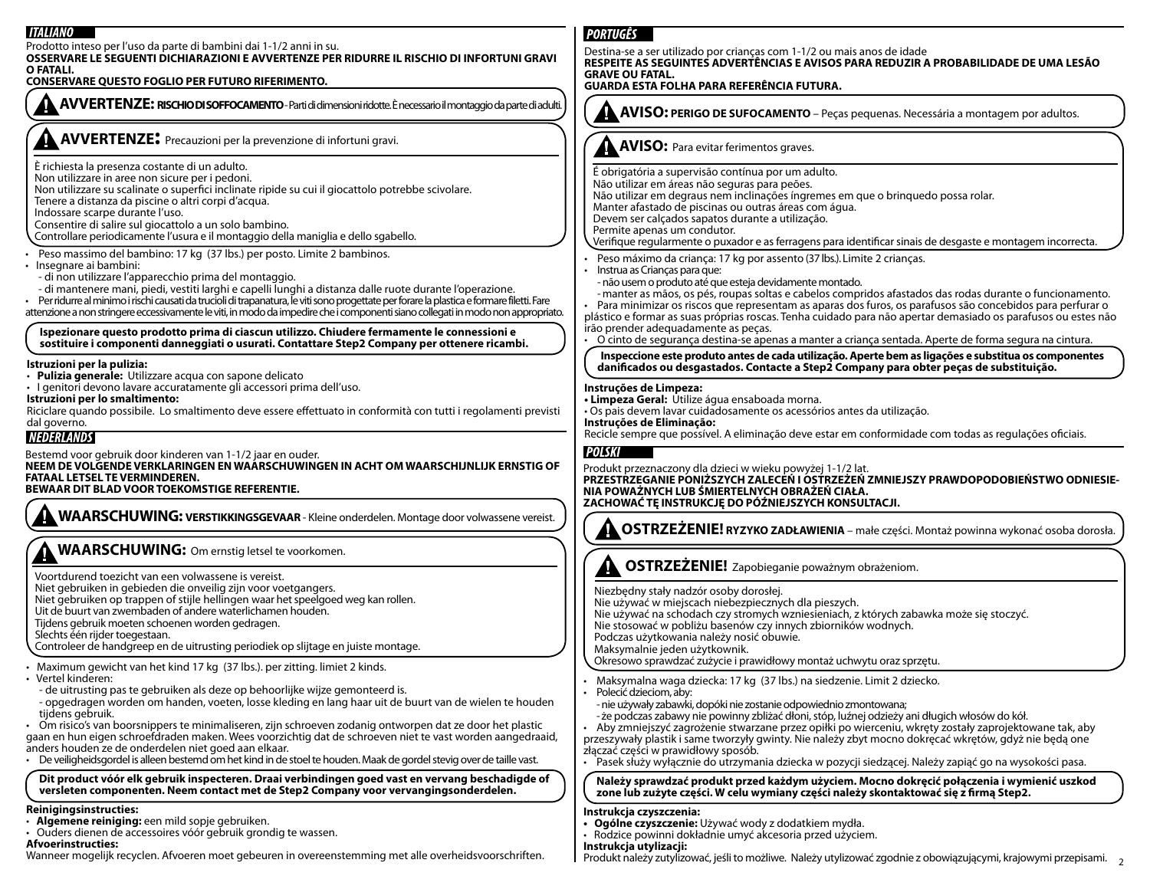| <b>ITALIANO</b>                                                                                                                                                                                                                                                                                                                                                                                                                                                                                                                                                                                                                                                                                                       | <b>PORTUGÊS</b>                                                                                                                                                                                                                                                                                                                                                                                                                                                                                                                                                                                                                                                                                                        |
|-----------------------------------------------------------------------------------------------------------------------------------------------------------------------------------------------------------------------------------------------------------------------------------------------------------------------------------------------------------------------------------------------------------------------------------------------------------------------------------------------------------------------------------------------------------------------------------------------------------------------------------------------------------------------------------------------------------------------|------------------------------------------------------------------------------------------------------------------------------------------------------------------------------------------------------------------------------------------------------------------------------------------------------------------------------------------------------------------------------------------------------------------------------------------------------------------------------------------------------------------------------------------------------------------------------------------------------------------------------------------------------------------------------------------------------------------------|
| Prodotto inteso per l'uso da parte di bambini dai 1-1/2 anni in su.<br>OSSERVARE LE SEGUENTI DICHIARAZIONI E AVVERTENZE PER RIDURRE IL RISCHIO DI INFORTUNI GRAVI<br>O FATALI.<br>CONSERVARE QUESTO FOGLIO PER FUTURO RIFERIMENTO.                                                                                                                                                                                                                                                                                                                                                                                                                                                                                    | Destina-se a ser utilizado por crianças com 1-1/2 ou mais anos de idade<br>RESPEITE AS SEGUINTES ADVERTÊNCIAS E AVISOS PARA REDUZIR A PROBABILIDADE DE UMA LESÃO<br><b>GRAVE OU FATAL.</b><br>GUARDA ESTA FOLHA PARA REFERÊNCIA FUTURA.                                                                                                                                                                                                                                                                                                                                                                                                                                                                                |
| AVVERTENZE: RISCHIO DI SOFFOCAMENTO - Parti di dimensioni ridotte. È necessario il montaggio da parte di adulti.                                                                                                                                                                                                                                                                                                                                                                                                                                                                                                                                                                                                      | AVISO: PERIGO DE SUFOCAMENTO - Peças pequenas. Necessária a montagem por adultos.                                                                                                                                                                                                                                                                                                                                                                                                                                                                                                                                                                                                                                      |
| <b>AVVERTENZE:</b> Precauzioni per la prevenzione di infortuni gravi.                                                                                                                                                                                                                                                                                                                                                                                                                                                                                                                                                                                                                                                 | <b>AVISO:</b> Para evitar ferimentos graves.                                                                                                                                                                                                                                                                                                                                                                                                                                                                                                                                                                                                                                                                           |
| È richiesta la presenza costante di un adulto.<br>Non utilizzare in aree non sicure per i pedoni.<br>Non utilizzare su scalinate o superfici inclinate ripide su cui il giocattolo potrebbe scivolare.<br>Tenere a distanza da piscine o altri corpi d'acqua.<br>Indossare scarpe durante l'uso.<br>Consentire di salire sul giocattolo a un solo bambino.<br>Controllare periodicamente l'usura e il montaggio della maniglia e dello sgabello.                                                                                                                                                                                                                                                                      | É obrigatória a supervisão contínua por um adulto.<br>Não utilizar em áreas não seguras para peões.<br>Não utilizar em degraus nem inclinações íngremes em que o brinquedo possa rolar.<br>Manter afastado de piscinas ou outras áreas com água.<br>Devem ser calçados sapatos durante a utilização.<br>Permite apenas um condutor.<br>Verifique regularmente o puxador e as ferragens para identificar sinais de desgaste e montagem incorrecta.                                                                                                                                                                                                                                                                      |
| Peso massimo del bambino: 17 kg (37 lbs.) per posto. Limite 2 bambinos.<br>Insegnare ai bambini:<br>- di non utilizzare l'apparecchio prima del montaggio.<br>- di mantenere mani, piedi, vestiti larghi e capelli lunghi a distanza dalle ruote durante l'operazione.<br>Per ridurre al minimo i rischi causati da trucioli di trapanatura, le viti sono progettate per forare la plastica e formare filetti. Fare<br>attenzione a non stringere eccessivamente le viti, in modo da impedire che i componenti siano collegati in modo non appropriato.<br>Ispezionare questo prodotto prima di ciascun utilizzo. Chiudere fermamente le connessioni e                                                                | Peso máximo da criança: 17 kg por assento (37 lbs.). Limite 2 crianças.<br>Instrua as Crianças para que:<br>- não usem o produto até que esteja devidamente montado.<br>-manter as mãos, os pés, roupas soltas e cabelos compridos afastados das rodas durante o funcionamento.<br>Para minimizar os riscos que representam as aparas dos furos, os parafusos são concebidos para perfurar o<br>plástico e formar as suas próprias roscas. Tenha cuidado para não apertar demasiado os parafusos ou estes não<br>irão prender adequadamente as peças.<br>O cinto de segurança destina-se apenas a manter a criança sentada. Aperte de forma segura na cintura.                                                         |
| sostituire i componenti danneggiati o usurati. Contattare Step2 Company per ottenere ricambi.<br>Istruzioni per la pulizia:                                                                                                                                                                                                                                                                                                                                                                                                                                                                                                                                                                                           | Inspeccione este produto antes de cada utilização. Aperte bem as ligações e substitua os componentes<br>danificados ou desgastados. Contacte a Step2 Company para obter peças de substituição.                                                                                                                                                                                                                                                                                                                                                                                                                                                                                                                         |
| Pulizia generale: Utilizzare acqua con sapone delicato<br>· I genitori devono lavare accuratamente gli accessori prima dell'uso.<br>Istruzioni per lo smaltimento:<br>Riciclare quando possibile. Lo smaltimento deve essere effettuato in conformità con tutti i regolamenti previsti<br>dal governo.<br><b>NEDERLANDS</b>                                                                                                                                                                                                                                                                                                                                                                                           | Instruções de Limpeza:<br>· Limpeza Geral: Utilize água ensaboada morna.<br>· Os pais devem lavar cuidadosamente os acessórios antes da utilização.<br>Instruções de Eliminação:<br>Recicle sempre que possível. A eliminação deve estar em conformidade com todas as regulações oficiais.                                                                                                                                                                                                                                                                                                                                                                                                                             |
| Bestemd voor gebruik door kinderen van 1-1/2 jaar en ouder.<br>NEEM DE VOLGENDE VERKLARINGEN EN WAARSCHUWINGEN IN ACHT OM WAARSCHIJNLIJK ERNSTIG OF<br>FATAAL LETSEL TE VERMINDEREN.<br>BEWAAR DIT BLAD VOOR TOEKOMSTIGE REFERENTIE.                                                                                                                                                                                                                                                                                                                                                                                                                                                                                  | <b>POLSKI</b><br>Produkt przeznaczony dla dzieci w wieku powyżej 1-1/2 lat.<br>PRZESTRZEGANIE PONIŻSZYCH ZALECEŃ I OSTRZEŻEŃ ZMNIEJSZY PRAWDOPODOBIEŃSTWO ODNIESIE-<br>NIA POWAŻNYCH LUB ŚMIERTELNYCH OBRAŻEŃ CIAŁA.<br>ZACHOWAĆ TĘ INSTRUKCJĘ DO PÓŹNIEJSZYCH KONSULTACJI.                                                                                                                                                                                                                                                                                                                                                                                                                                            |
| A WAARSCHUWING: VERSTIKKINGSGEVAAR - Kleine onderdelen. Montage door volwassene vereist.                                                                                                                                                                                                                                                                                                                                                                                                                                                                                                                                                                                                                              | OSTRZEŻENIE! RYZYKO ZADŁAWIENIA – małe części. Montaż powinna wykonać osoba dorosła.                                                                                                                                                                                                                                                                                                                                                                                                                                                                                                                                                                                                                                   |
| <b>WAARSCHUWING:</b> Om ernstig letsel te voorkomen.<br>Voortdurend toezicht van een volwassene is vereist.<br>Niet gebruiken in gebieden die onveilig zijn voor voetgangers.<br>Niet gebruiken op trappen of stijle hellingen waar het speelgoed weg kan rollen.<br>Uit de buurt van zwembaden of andere waterlichamen houden.<br>Tijdens gebruik moeten schoenen worden gedragen.<br>Slechts één rijder toegestaan.<br>Controleer de handgreep en de uitrusting periodiek op slijtage en juiste montage.                                                                                                                                                                                                            | OSTRZEŻENIE! Zapobieganie poważnym obrażeniom.<br>Niezbędny stały nadzór osoby dorosłej.<br>Nie używać w miejscach niebezpiecznych dla pieszych.<br>Nie używać na schodach czy stromych wzniesieniach, z których zabawka może się stoczyć.<br>Nie stosować w pobliżu basenów czy innych zbiorników wodnych.<br>Podczas użytkowania należy nosić obuwie.<br>Maksymalnie jeden użytkownik.                                                                                                                                                                                                                                                                                                                               |
| Maximum gewicht van het kind 17 kg (37 lbs.). per zitting. limiet 2 kinds.<br>Vertel kinderen:<br>- de uitrusting pas te gebruiken als deze op behoorlijke wijze gemonteerd is.<br>- opgedragen worden om handen, voeten, losse kleding en lang haar uit de buurt van de wielen te houden<br>tijdens gebruik.<br>Om risico's van boorsnippers te minimaliseren, zijn schroeven zodanig ontworpen dat ze door het plastic<br>gaan en hun eigen schroefdraden maken. Wees voorzichtig dat de schroeven niet te vast worden aangedraaid,<br>anders houden ze de onderdelen niet goed aan elkaar.<br>De veiligheidsgordel is alleen bestemd om het kind in de stoel te houden. Maak de gordel stevig over de taille vast. | Okresowo sprawdzać zużycie i prawidłowy montaż uchwytu oraz sprzętu.<br>· Maksymalna waga dziecka: 17 kg (37 lbs.) na siedzenie. Limit 2 dziecko.<br>Polecić dzieciom, aby:<br>- nie używały zabawki, dopóki nie zostanie odpowiednio zmontowana;<br>- że podczas zabawy nie powinny zbliżać dłoni, stóp, luźnej odzieży ani długich włosów do kół.<br>Aby zmniejszyć zagrożenie stwarzane przez opiłki po wierceniu, wkręty zostały zaprojektowane tak, aby<br>przeszywały plastik i same tworzyły gwinty. Nie należy zbyt mocno dokręcać wkrętów, gdyż nie będą one<br>złączać części w prawidłowy sposób.<br>· Pasek służy wyłącznie do utrzymania dziecka w pozycji siedzącej. Należy zapiąć go na wysokości pasa. |
| Dit product vóór elk gebruik inspecteren. Draai verbindingen goed vast en vervang beschadigde of<br>versleten componenten. Neem contact met de Step2 Company voor vervangingsonderdelen.<br>Reinigingsinstructies:                                                                                                                                                                                                                                                                                                                                                                                                                                                                                                    | Należy sprawdzać produkt przed każdym użyciem. Mocno dokrecić połączenia i wymienić uszkod<br>zone lub zużyte części. W celu wymiany części należy skontaktować się z firmą Step2.                                                                                                                                                                                                                                                                                                                                                                                                                                                                                                                                     |
| Algemene reiniging: een mild sopje gebruiken.<br>Ouders dienen de accessoires vóór gebruik grondig te wassen.<br>Afvoerinstructies:<br>Wanneer mogelijk recyclen. Afvoeren moet gebeuren in overeenstemming met alle overheidsvoorschriften.                                                                                                                                                                                                                                                                                                                                                                                                                                                                          | Instrukcja czyszczenia:<br>• Ogólne czyszczenie: Używać wody z dodatkiem mydła.<br>· Rodzice powinni dokładnie umyć akcesoria przed użyciem.<br>Instrukcja utylizacji:<br>Produkt należy zutylizować, jeśli to możliwe. Należy utylizować zgodnie z obowiązującymi, krajowymi przepisami.                                                                                                                                                                                                                                                                                                                                                                                                                              |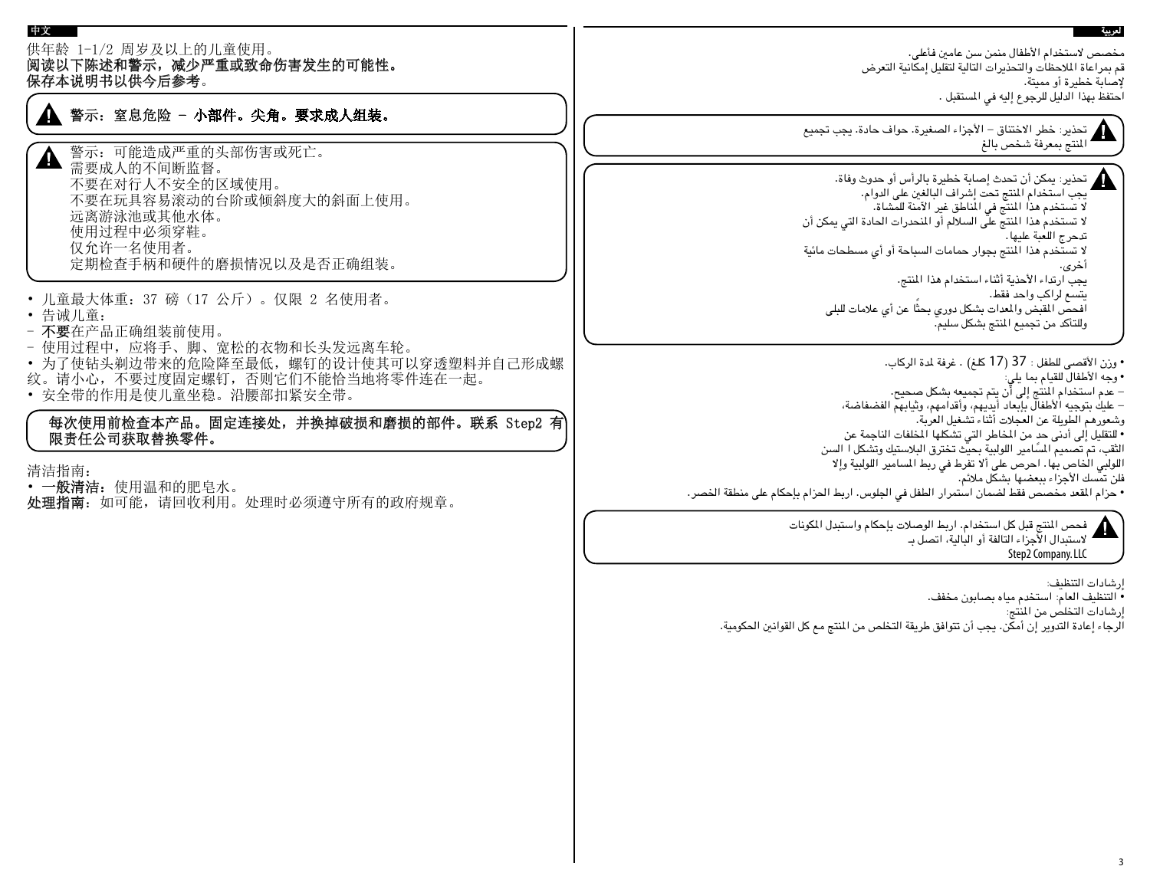#### 供年龄 1-1/2 周岁及以上的儿童使用。 阅读以下陈述和警示,减少严重或致命伤害发生的可能性。 保存本说明书以供今后参考。 مخصص الستخدام األطفال منمن سن عامني فأعلى. قم مبراعاة املالحظات والتحذيرات التالية لتقليل إمكانية التعرض إلصابة خطيرة أو مميتة. احتفظ بهذا الدليل للرجوع إليه في املستقبل . • 儿童最大体重:37 磅(17 公斤)。仅限 2 名使用者。 • 告诫儿童: - 不要在产品正确组装前使用。 - 使用过程中,应将手、脚、宽松的衣物和长头发远离车轮。 • 为了使钻头剃边带来的危险降至最低,螺钉的设计使其可以穿透塑料并自己形成螺 纹。请小心,不要过度固定螺钉,否则它们不能恰当地将零件连在一起。 • 安全带的作用是使儿童坐稳。沿腰部扣紧安全带。 每次使用前检查本产品。固定连接处,并换掉破损和磨损的部件。联系 Step2 有 限责任公司获取替换零件。 清洁指南: • 一般清洁:使用温和的肥皂水。 处理指南:如可能,请回收利用。处理时必须遵守所有的政府规章。 警示:可能造成严重的头部伤害或死亡。 需要成人的不间断监督。 不要在对行人不安全的区域使用。 不要在玩具容易滚动的台阶或倾斜度大的斜面上使用。 远离游泳池或其他水体。 使用过程中必须穿鞋。 仅允许一名使用者。 定期检查手柄和硬件的磨损情况以及是否正确组装。 警示: 窒息危险 - 小部件。尖角。要求成人组装。 حتذير: خطر االختناق - األجزاء الصغيرة. حواف حادة. يجب جتميع املنتج مبعرفة شخص بالغ لعربية 中文 حتذير: ميكن أن حتدث إصابة خطيرة بالرأس أو حدوث وفاة. يجب استخدام المنتج تحت إشراف البالغين على الدوام.<br>لا تستخدم هذا المنتج في الماطق غير الآمنة للمشاة. لا تستخدم هذا المنتج على السلالم أو المنحدرات الحادة التي يمكن أن تدحرج اللعبة عليها. لا تستخدم هذا المنتج بجوار حمامات السباحة أو أي مسطحات مائية<br>أخرى. يجب ارتداء األحذية أثناء استخدام هذا املنتج. يتسع لراكب واحد فقط. افحص المقبض والمعدات بشكل دوري بحثًا عن أي علامات للبلى وللتأكد من تجميع المنتج بشكل سليم. • وزن الأقصى للطفل : 37 (17 كلغ) . غرفة لدة الركاب.<br>• وجه الأطفال للقيام بما يلي:<br>– عدم استخدام المنتج إلى أن يتم تجميعه بشكل صحيح. - عليك بتوجيه األطفال بإبعاد أيديهم، وأقدامهم، وثيابهم الفضفاضة، وشعورهم الطويلة عن العجلات أثناء تشغيل العربة.<br>• التقليل إلى أدنى حد من المخاطر التى تشكلها المظفات الناجمة عن الثقب، تم تصميم المسًامير اللولبية بحيث تخترق البلاستيك وتشكل ا السن اللولبي الخاص بها. احرص على ألا تفرط في ربط المسامير اللولبية وإلا<br>فلن تمسك الأجزاء ببعضها بشكل ملائم. • حزام املقعد مخصص فقط لضمان استمرار الطفل في اجللوس. اربط احلزام بإحكام على منطقة اخلصر. فحص املنتج قبل كل استخدام. اربط الوصالت بإحكام واستبدل املكونات الستبدال األجزاء التالفة أو البالية، اتصل بـ

Step2 Company. LLC

إرشادات التنظيف: *•* التنظيف العام: استخدم مياه بصابون مخفف.

إرشادات التخلص من املنتج:

الرجاء إعادة التدوير إن أمكن. يجب أن تتوافق طريقة التخلص من املنتج مع كل القوانني احلكومية.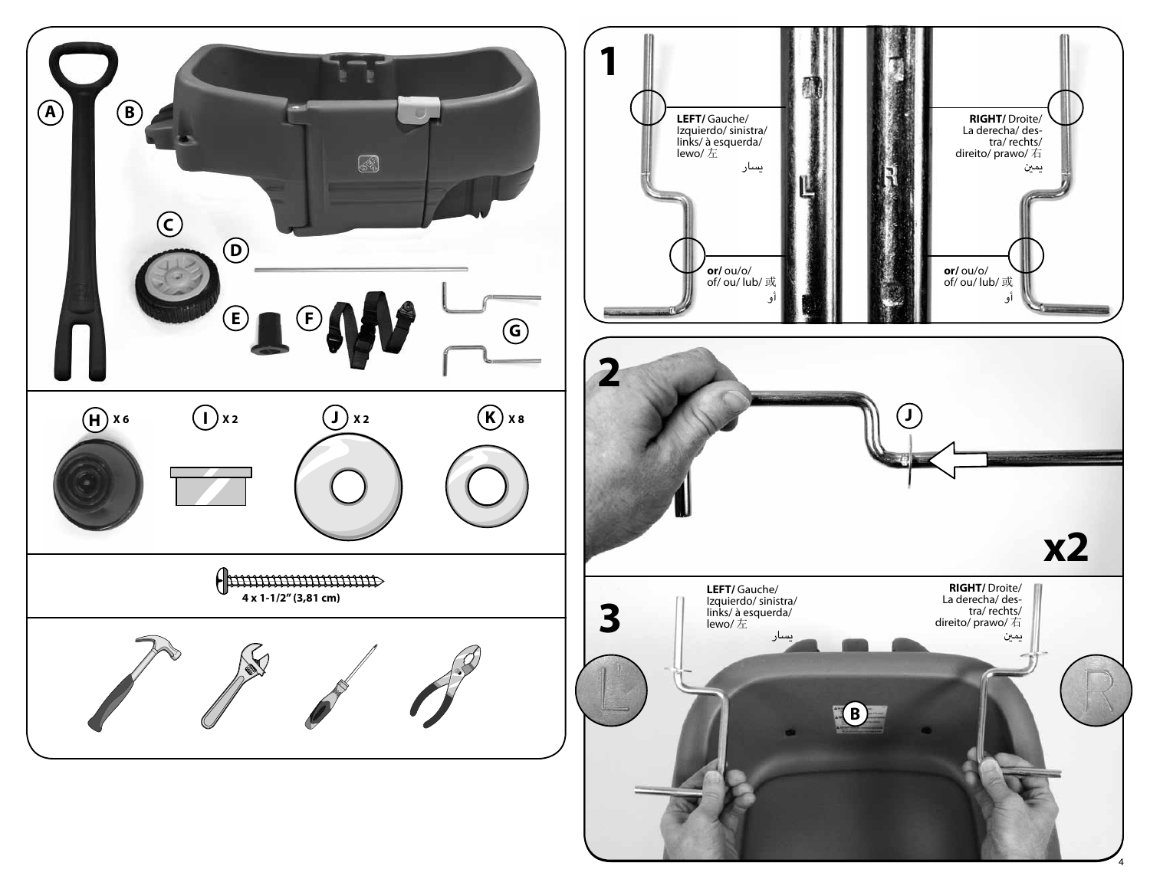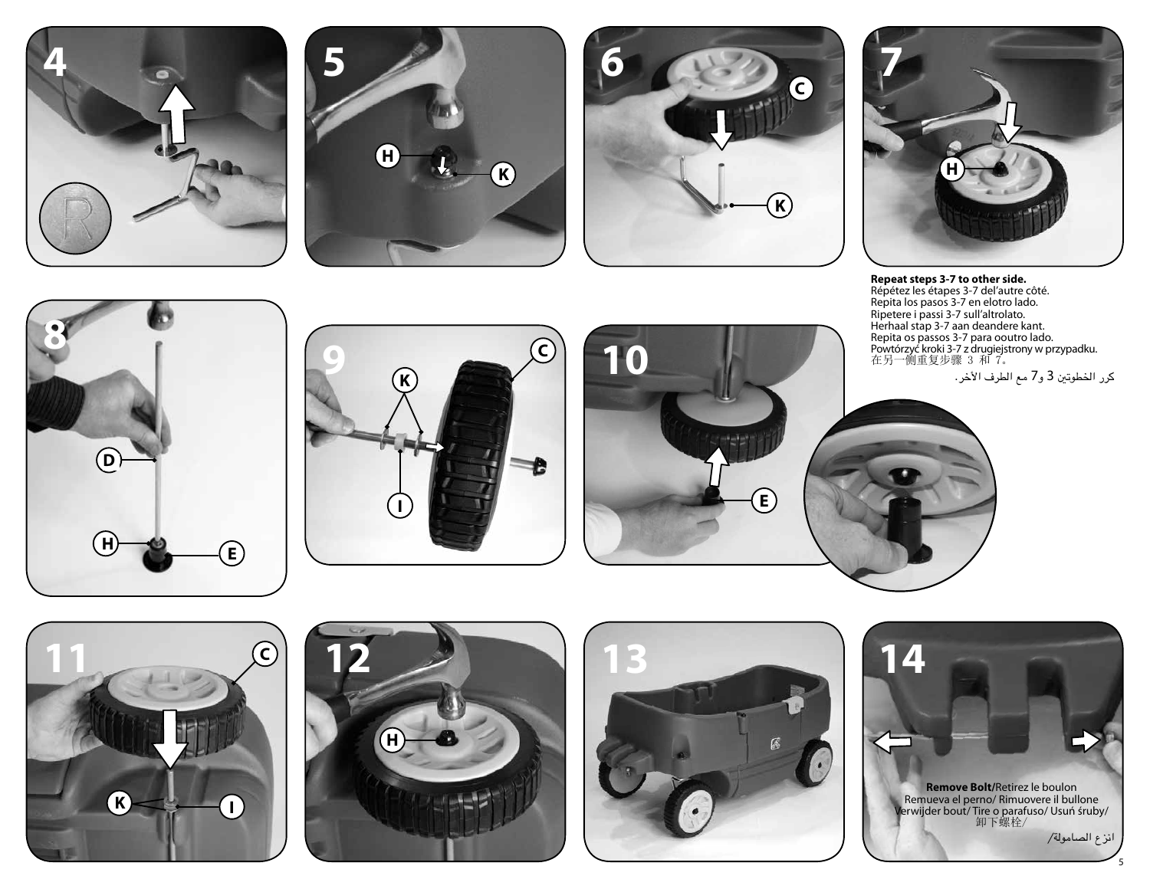







**Repeat steps 3-7 to other side.** Répétez les étapes 3-7 del'autre côté. Repita los pasos 3-7 en elotro lado. Ripetere i passi 3-7 sull'altrolato. Herhaal stap 3-7 aan deandere kant. Repita os passos 3-7 para ooutro lado. Powtórzyć kroki 3-7 z drugiejstrony w przypadku. 在另一侧重复步骤 3 和 7。

كرر اخلطوتني 3 و7 مع الطرف األخر.